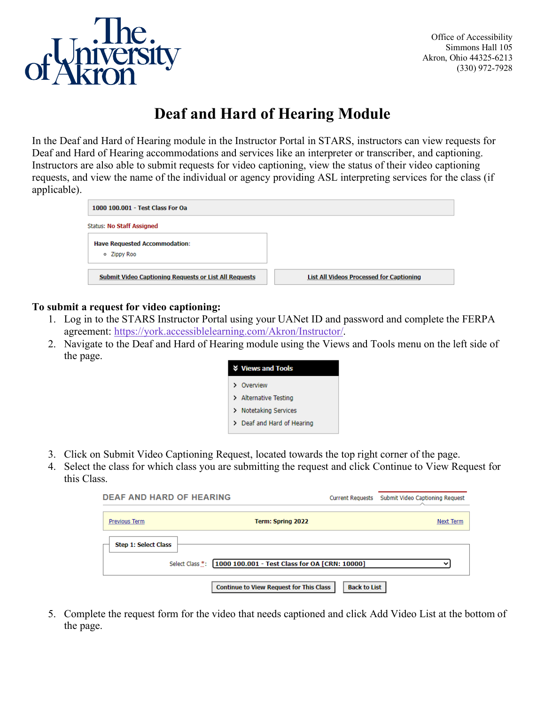

## **Deaf and Hard of Hearing Module**

In the Deaf and Hard of Hearing module in the Instructor Portal in STARS, instructors can view requests for Deaf and Hard of Hearing accommodations and services like an interpreter or transcriber, and captioning. Instructors are also able to submit requests for video captioning, view the status of their video captioning requests, and view the name of the individual or agency providing ASL interpreting services for the class (if applicable).

| 1000 100.001 - Test Class For Oa                             |                                                 |
|--------------------------------------------------------------|-------------------------------------------------|
| <b>Status: No Staff Assigned</b>                             |                                                 |
| <b>Have Requested Accommodation:</b>                         |                                                 |
| o Zippy Roo                                                  |                                                 |
| <b>Submit Video Captioning Requests or List All Requests</b> | <b>List All Videos Processed for Captioning</b> |

## **To submit a request for video captioning:**

- 1. Log in to the STARS Instructor Portal using your UANet ID and password and complete the FERPA agreement: [https://york.accessiblelearning.com/Akron/Instructor/.](https://york.accessiblelearning.com/Akron/Instructor/)
- 2. Navigate to the Deaf and Hard of Hearing module using the Views and Tools menu on the left side of the page.

| <b>V</b> Views and Tools   |
|----------------------------|
| > Overview                 |
| > Alternative Testing      |
| > Notetaking Services      |
| > Deaf and Hard of Hearing |

- 3. Click on Submit Video Captioning Request, located towards the top right corner of the page.
- 4. Select the class for which class you are submitting the request and click Continue to View Request for this Class.

| <b>DEAF AND HARD OF HEARING</b> |                                                                | <b>Current Requests</b> | Submit Video Captioning Request |
|---------------------------------|----------------------------------------------------------------|-------------------------|---------------------------------|
| Previous Term                   | Term: Spring 2022                                              |                         | <b>Next Term</b>                |
| <b>Step 1: Select Class</b>     |                                                                |                         |                                 |
|                                 | Select Class *: [1000 100.001 - Test Class for OA [CRN: 10000] |                         | $\check{ }$                     |
|                                 | <b>Continue to View Request for This Class</b>                 | <b>Back to List</b>     |                                 |

5. Complete the request form for the video that needs captioned and click Add Video List at the bottom of the page.